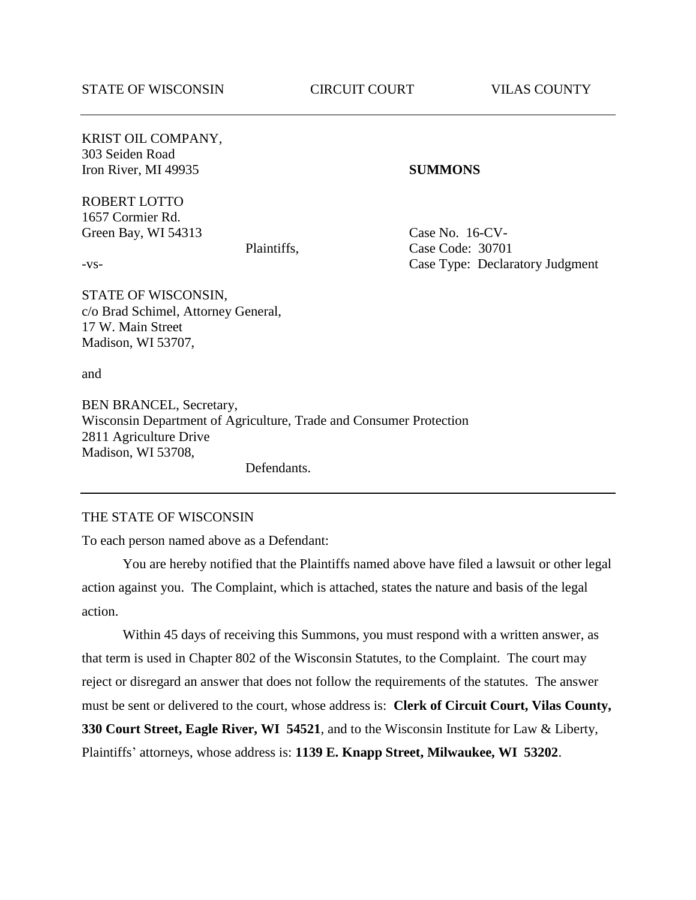KRIST OIL COMPANY, 303 Seiden Road Iron River, MI 49935 **SUMMONS**

ROBERT LOTTO 1657 Cormier Rd. Green Bay, WI 54313 Case No. 16-CV-

Plaintiffs, Case Code: 30701 -vs- Case Type: Declaratory Judgment

STATE OF WISCONSIN, c/o Brad Schimel, Attorney General, 17 W. Main Street Madison, WI 53707,

and

BEN BRANCEL, Secretary, Wisconsin Department of Agriculture, Trade and Consumer Protection 2811 Agriculture Drive Madison, WI 53708,

Defendants.

#### THE STATE OF WISCONSIN

To each person named above as a Defendant:

You are hereby notified that the Plaintiffs named above have filed a lawsuit or other legal action against you. The Complaint, which is attached, states the nature and basis of the legal action.

Within 45 days of receiving this Summons, you must respond with a written answer, as that term is used in Chapter 802 of the Wisconsin Statutes, to the Complaint. The court may reject or disregard an answer that does not follow the requirements of the statutes. The answer must be sent or delivered to the court, whose address is: **Clerk of Circuit Court, Vilas County, 330 Court Street, Eagle River, WI 54521**, and to the Wisconsin Institute for Law & Liberty, Plaintiffs' attorneys, whose address is: **1139 E. Knapp Street, Milwaukee, WI 53202**.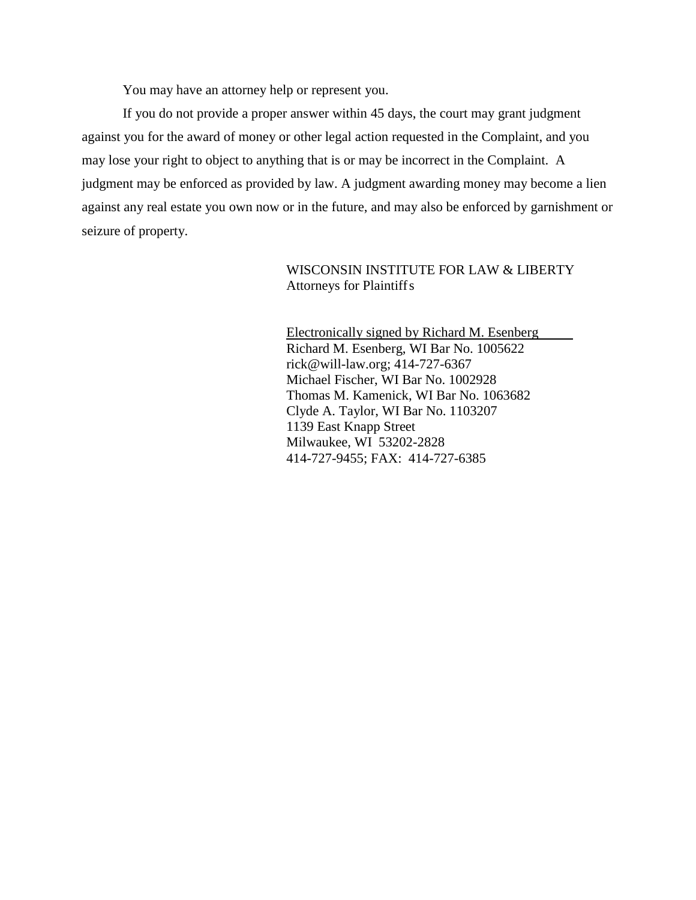You may have an attorney help or represent you.

If you do not provide a proper answer within 45 days, the court may grant judgment against you for the award of money or other legal action requested in the Complaint, and you may lose your right to object to anything that is or may be incorrect in the Complaint. A judgment may be enforced as provided by law. A judgment awarding money may become a lien against any real estate you own now or in the future, and may also be enforced by garnishment or seizure of property.

> WISCONSIN INSTITUTE FOR LAW & LIBERTY Attorneys for Plaintiffs

Electronically signed by Richard M. Esenberg Richard M. Esenberg, WI Bar No. 1005622 [rick@will-law.org;](mailto:rick@will-law.org) 414-727-6367 Michael Fischer, WI Bar No. 1002928 Thomas M. Kamenick, WI Bar No. 1063682 Clyde A. Taylor, WI Bar No. 1103207 1139 East Knapp Street Milwaukee, WI 53202-2828 414-727-9455; FAX: 414-727-6385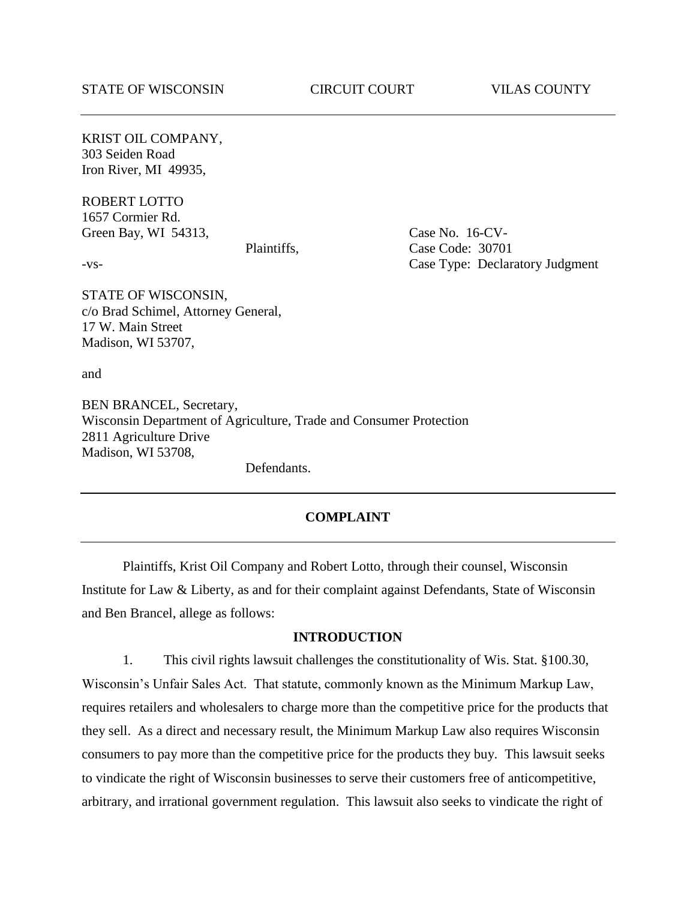KRIST OIL COMPANY, 303 Seiden Road Iron River, MI 49935,

ROBERT LOTTO 1657 Cormier Rd. Green Bay, WI 54313, Case No. 16-CV-

Plaintiffs, Case Code: 30701 -vs- Case Type: Declaratory Judgment

STATE OF WISCONSIN, c/o Brad Schimel, Attorney General, 17 W. Main Street Madison, WI 53707,

and

BEN BRANCEL, Secretary, Wisconsin Department of Agriculture, Trade and Consumer Protection 2811 Agriculture Drive Madison, WI 53708,

Defendants.

### **COMPLAINT**

Plaintiffs, Krist Oil Company and Robert Lotto, through their counsel, Wisconsin Institute for Law & Liberty, as and for their complaint against Defendants, State of Wisconsin and Ben Brancel, allege as follows:

## **INTRODUCTION**

1. This civil rights lawsuit challenges the constitutionality of Wis. Stat. §100.30, Wisconsin's Unfair Sales Act. That statute, commonly known as the Minimum Markup Law, requires retailers and wholesalers to charge more than the competitive price for the products that they sell. As a direct and necessary result, the Minimum Markup Law also requires Wisconsin consumers to pay more than the competitive price for the products they buy. This lawsuit seeks to vindicate the right of Wisconsin businesses to serve their customers free of anticompetitive, arbitrary, and irrational government regulation. This lawsuit also seeks to vindicate the right of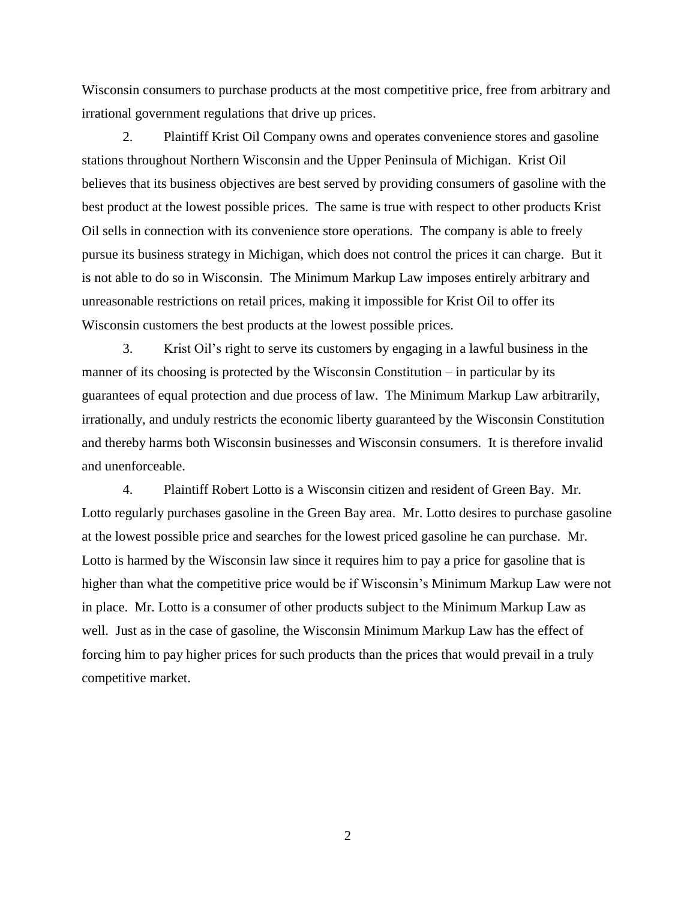Wisconsin consumers to purchase products at the most competitive price, free from arbitrary and irrational government regulations that drive up prices.

2. Plaintiff Krist Oil Company owns and operates convenience stores and gasoline stations throughout Northern Wisconsin and the Upper Peninsula of Michigan. Krist Oil believes that its business objectives are best served by providing consumers of gasoline with the best product at the lowest possible prices. The same is true with respect to other products Krist Oil sells in connection with its convenience store operations. The company is able to freely pursue its business strategy in Michigan, which does not control the prices it can charge. But it is not able to do so in Wisconsin. The Minimum Markup Law imposes entirely arbitrary and unreasonable restrictions on retail prices, making it impossible for Krist Oil to offer its Wisconsin customers the best products at the lowest possible prices.

3. Krist Oil's right to serve its customers by engaging in a lawful business in the manner of its choosing is protected by the Wisconsin Constitution – in particular by its guarantees of equal protection and due process of law. The Minimum Markup Law arbitrarily, irrationally, and unduly restricts the economic liberty guaranteed by the Wisconsin Constitution and thereby harms both Wisconsin businesses and Wisconsin consumers. It is therefore invalid and unenforceable.

4. Plaintiff Robert Lotto is a Wisconsin citizen and resident of Green Bay. Mr. Lotto regularly purchases gasoline in the Green Bay area. Mr. Lotto desires to purchase gasoline at the lowest possible price and searches for the lowest priced gasoline he can purchase. Mr. Lotto is harmed by the Wisconsin law since it requires him to pay a price for gasoline that is higher than what the competitive price would be if Wisconsin's Minimum Markup Law were not in place. Mr. Lotto is a consumer of other products subject to the Minimum Markup Law as well. Just as in the case of gasoline, the Wisconsin Minimum Markup Law has the effect of forcing him to pay higher prices for such products than the prices that would prevail in a truly competitive market.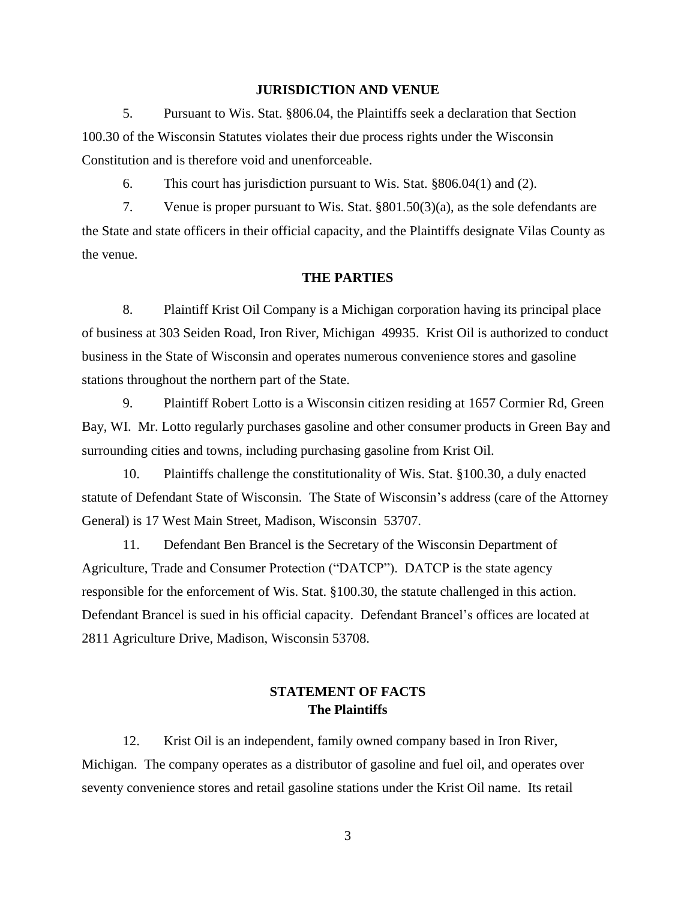### **JURISDICTION AND VENUE**

5. Pursuant to Wis. Stat. §806.04, the Plaintiffs seek a declaration that Section 100.30 of the Wisconsin Statutes violates their due process rights under the Wisconsin Constitution and is therefore void and unenforceable.

6. This court has jurisdiction pursuant to Wis. Stat. §806.04(1) and (2).

7. Venue is proper pursuant to Wis. Stat. §801.50(3)(a), as the sole defendants are the State and state officers in their official capacity, and the Plaintiffs designate Vilas County as the venue.

#### **THE PARTIES**

8. Plaintiff Krist Oil Company is a Michigan corporation having its principal place of business at 303 Seiden Road, Iron River, Michigan 49935. Krist Oil is authorized to conduct business in the State of Wisconsin and operates numerous convenience stores and gasoline stations throughout the northern part of the State.

9. Plaintiff Robert Lotto is a Wisconsin citizen residing at 1657 Cormier Rd, Green Bay, WI. Mr. Lotto regularly purchases gasoline and other consumer products in Green Bay and surrounding cities and towns, including purchasing gasoline from Krist Oil.

10. Plaintiffs challenge the constitutionality of Wis. Stat. §100.30, a duly enacted statute of Defendant State of Wisconsin. The State of Wisconsin's address (care of the Attorney General) is 17 West Main Street, Madison, Wisconsin 53707.

11. Defendant Ben Brancel is the Secretary of the Wisconsin Department of Agriculture, Trade and Consumer Protection ("DATCP"). DATCP is the state agency responsible for the enforcement of Wis. Stat. §100.30, the statute challenged in this action. Defendant Brancel is sued in his official capacity. Defendant Brancel's offices are located at 2811 Agriculture Drive, Madison, Wisconsin 53708.

# **STATEMENT OF FACTS The Plaintiffs**

12. Krist Oil is an independent, family owned company based in Iron River, Michigan. The company operates as a distributor of gasoline and fuel oil, and operates over seventy convenience stores and retail gasoline stations under the Krist Oil name. Its retail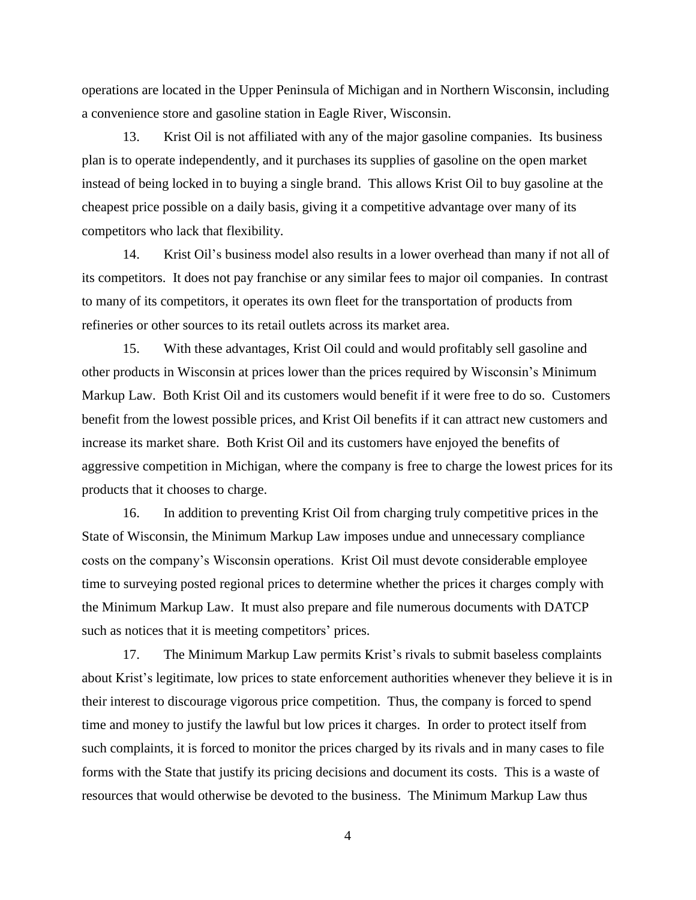operations are located in the Upper Peninsula of Michigan and in Northern Wisconsin, including a convenience store and gasoline station in Eagle River, Wisconsin.

13. Krist Oil is not affiliated with any of the major gasoline companies. Its business plan is to operate independently, and it purchases its supplies of gasoline on the open market instead of being locked in to buying a single brand. This allows Krist Oil to buy gasoline at the cheapest price possible on a daily basis, giving it a competitive advantage over many of its competitors who lack that flexibility.

14. Krist Oil's business model also results in a lower overhead than many if not all of its competitors. It does not pay franchise or any similar fees to major oil companies. In contrast to many of its competitors, it operates its own fleet for the transportation of products from refineries or other sources to its retail outlets across its market area.

15. With these advantages, Krist Oil could and would profitably sell gasoline and other products in Wisconsin at prices lower than the prices required by Wisconsin's Minimum Markup Law. Both Krist Oil and its customers would benefit if it were free to do so. Customers benefit from the lowest possible prices, and Krist Oil benefits if it can attract new customers and increase its market share. Both Krist Oil and its customers have enjoyed the benefits of aggressive competition in Michigan, where the company is free to charge the lowest prices for its products that it chooses to charge.

16. In addition to preventing Krist Oil from charging truly competitive prices in the State of Wisconsin, the Minimum Markup Law imposes undue and unnecessary compliance costs on the company's Wisconsin operations. Krist Oil must devote considerable employee time to surveying posted regional prices to determine whether the prices it charges comply with the Minimum Markup Law. It must also prepare and file numerous documents with DATCP such as notices that it is meeting competitors' prices.

17. The Minimum Markup Law permits Krist's rivals to submit baseless complaints about Krist's legitimate, low prices to state enforcement authorities whenever they believe it is in their interest to discourage vigorous price competition. Thus, the company is forced to spend time and money to justify the lawful but low prices it charges. In order to protect itself from such complaints, it is forced to monitor the prices charged by its rivals and in many cases to file forms with the State that justify its pricing decisions and document its costs. This is a waste of resources that would otherwise be devoted to the business. The Minimum Markup Law thus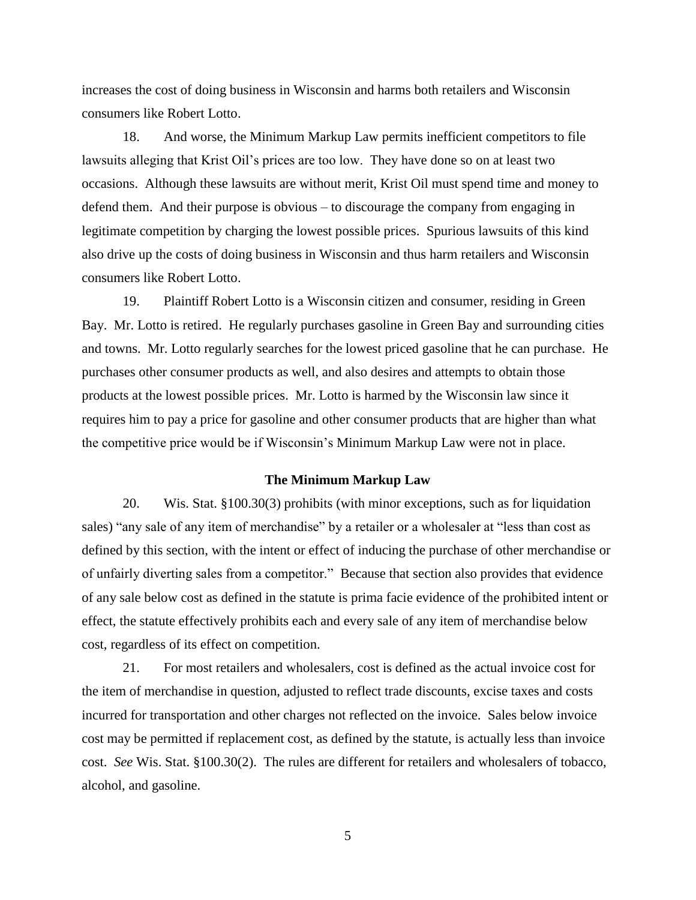increases the cost of doing business in Wisconsin and harms both retailers and Wisconsin consumers like Robert Lotto.

18. And worse, the Minimum Markup Law permits inefficient competitors to file lawsuits alleging that Krist Oil's prices are too low. They have done so on at least two occasions. Although these lawsuits are without merit, Krist Oil must spend time and money to defend them. And their purpose is obvious – to discourage the company from engaging in legitimate competition by charging the lowest possible prices. Spurious lawsuits of this kind also drive up the costs of doing business in Wisconsin and thus harm retailers and Wisconsin consumers like Robert Lotto.

19. Plaintiff Robert Lotto is a Wisconsin citizen and consumer, residing in Green Bay. Mr. Lotto is retired. He regularly purchases gasoline in Green Bay and surrounding cities and towns. Mr. Lotto regularly searches for the lowest priced gasoline that he can purchase. He purchases other consumer products as well, and also desires and attempts to obtain those products at the lowest possible prices. Mr. Lotto is harmed by the Wisconsin law since it requires him to pay a price for gasoline and other consumer products that are higher than what the competitive price would be if Wisconsin's Minimum Markup Law were not in place.

### **The Minimum Markup Law**

20. Wis. Stat. §100.30(3) prohibits (with minor exceptions, such as for liquidation sales) "any sale of any item of merchandise" by a retailer or a wholesaler at "less than cost as defined by this section, with the intent or effect of inducing the purchase of other merchandise or of unfairly diverting sales from a competitor." Because that section also provides that evidence of any sale below cost as defined in the statute is prima facie evidence of the prohibited intent or effect, the statute effectively prohibits each and every sale of any item of merchandise below cost, regardless of its effect on competition.

21. For most retailers and wholesalers, cost is defined as the actual invoice cost for the item of merchandise in question, adjusted to reflect trade discounts, excise taxes and costs incurred for transportation and other charges not reflected on the invoice. Sales below invoice cost may be permitted if replacement cost, as defined by the statute, is actually less than invoice cost. *See* Wis. Stat. §100.30(2). The rules are different for retailers and wholesalers of tobacco, alcohol, and gasoline.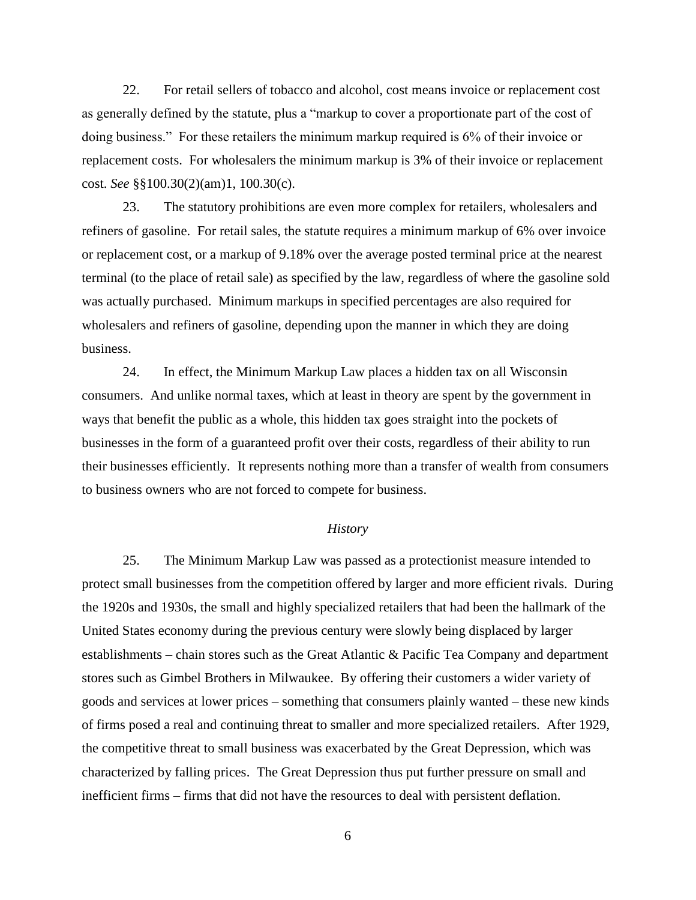22. For retail sellers of tobacco and alcohol, cost means invoice or replacement cost as generally defined by the statute, plus a "markup to cover a proportionate part of the cost of doing business." For these retailers the minimum markup required is 6% of their invoice or replacement costs. For wholesalers the minimum markup is 3% of their invoice or replacement cost. *See* §§100.30(2)(am)1, 100.30(c).

23. The statutory prohibitions are even more complex for retailers, wholesalers and refiners of gasoline. For retail sales, the statute requires a minimum markup of 6% over invoice or replacement cost, or a markup of 9.18% over the average posted terminal price at the nearest terminal (to the place of retail sale) as specified by the law, regardless of where the gasoline sold was actually purchased. Minimum markups in specified percentages are also required for wholesalers and refiners of gasoline, depending upon the manner in which they are doing business.

24. In effect, the Minimum Markup Law places a hidden tax on all Wisconsin consumers. And unlike normal taxes, which at least in theory are spent by the government in ways that benefit the public as a whole, this hidden tax goes straight into the pockets of businesses in the form of a guaranteed profit over their costs, regardless of their ability to run their businesses efficiently. It represents nothing more than a transfer of wealth from consumers to business owners who are not forced to compete for business.

#### *History*

25. The Minimum Markup Law was passed as a protectionist measure intended to protect small businesses from the competition offered by larger and more efficient rivals. During the 1920s and 1930s, the small and highly specialized retailers that had been the hallmark of the United States economy during the previous century were slowly being displaced by larger establishments – chain stores such as the Great Atlantic & Pacific Tea Company and department stores such as Gimbel Brothers in Milwaukee. By offering their customers a wider variety of goods and services at lower prices – something that consumers plainly wanted – these new kinds of firms posed a real and continuing threat to smaller and more specialized retailers. After 1929, the competitive threat to small business was exacerbated by the Great Depression, which was characterized by falling prices. The Great Depression thus put further pressure on small and inefficient firms – firms that did not have the resources to deal with persistent deflation.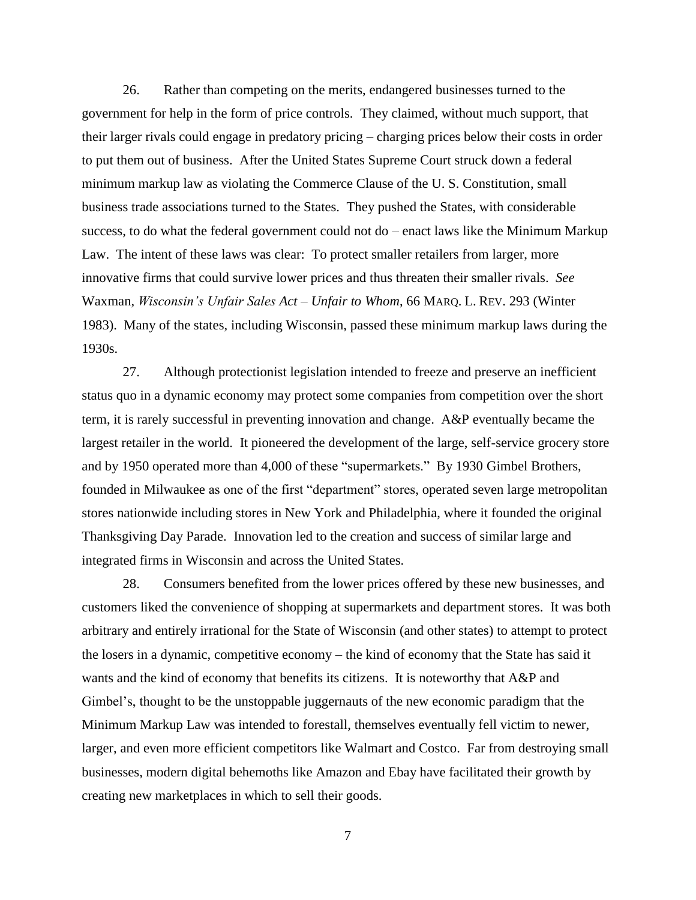26. Rather than competing on the merits, endangered businesses turned to the government for help in the form of price controls. They claimed, without much support, that their larger rivals could engage in predatory pricing – charging prices below their costs in order to put them out of business. After the United States Supreme Court struck down a federal minimum markup law as violating the Commerce Clause of the U. S. Constitution, small business trade associations turned to the States. They pushed the States, with considerable success, to do what the federal government could not do – enact laws like the Minimum Markup Law. The intent of these laws was clear: To protect smaller retailers from larger, more innovative firms that could survive lower prices and thus threaten their smaller rivals. *See* Waxman, *Wisconsin's Unfair Sales Act – Unfair to Whom*, 66 MARQ. L. REV. 293 (Winter 1983). Many of the states, including Wisconsin, passed these minimum markup laws during the 1930s.

27. Although protectionist legislation intended to freeze and preserve an inefficient status quo in a dynamic economy may protect some companies from competition over the short term, it is rarely successful in preventing innovation and change. A&P eventually became the largest retailer in the world. It pioneered the development of the large, self-service grocery store and by 1950 operated more than 4,000 of these "supermarkets." By 1930 Gimbel Brothers, founded in Milwaukee as one of the first "department" stores, operated seven large metropolitan stores nationwide including stores in New York and Philadelphia, where it founded the original Thanksgiving Day Parade. Innovation led to the creation and success of similar large and integrated firms in Wisconsin and across the United States.

28. Consumers benefited from the lower prices offered by these new businesses, and customers liked the convenience of shopping at supermarkets and department stores. It was both arbitrary and entirely irrational for the State of Wisconsin (and other states) to attempt to protect the losers in a dynamic, competitive economy – the kind of economy that the State has said it wants and the kind of economy that benefits its citizens. It is noteworthy that A&P and Gimbel's, thought to be the unstoppable juggernauts of the new economic paradigm that the Minimum Markup Law was intended to forestall, themselves eventually fell victim to newer, larger, and even more efficient competitors like Walmart and Costco. Far from destroying small businesses, modern digital behemoths like Amazon and Ebay have facilitated their growth by creating new marketplaces in which to sell their goods.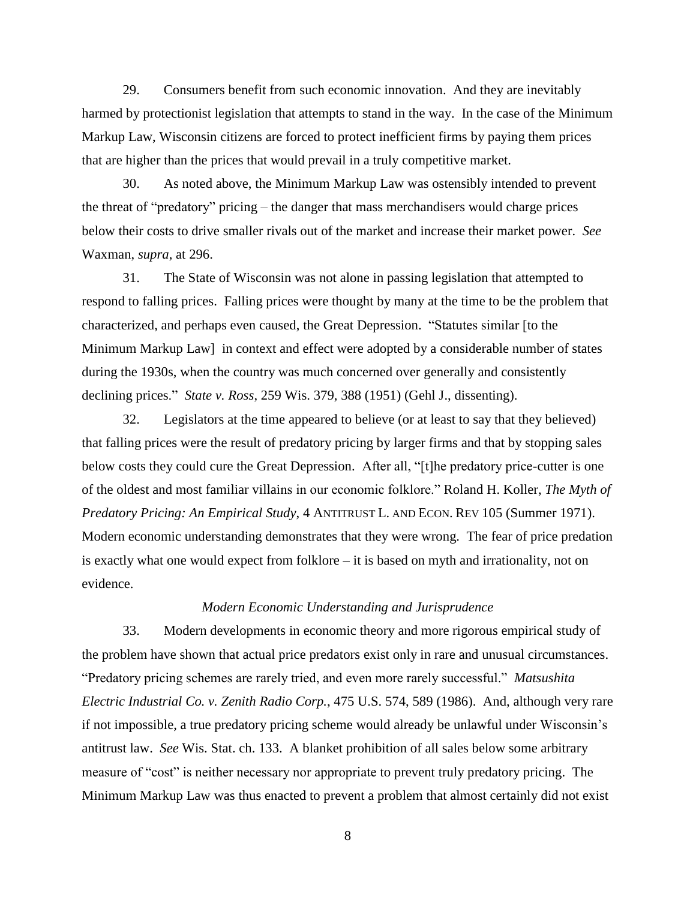29. Consumers benefit from such economic innovation. And they are inevitably harmed by protectionist legislation that attempts to stand in the way. In the case of the Minimum Markup Law, Wisconsin citizens are forced to protect inefficient firms by paying them prices that are higher than the prices that would prevail in a truly competitive market.

30. As noted above, the Minimum Markup Law was ostensibly intended to prevent the threat of "predatory" pricing – the danger that mass merchandisers would charge prices below their costs to drive smaller rivals out of the market and increase their market power. *See* Waxman, *supra*, at 296.

31. The State of Wisconsin was not alone in passing legislation that attempted to respond to falling prices. Falling prices were thought by many at the time to be the problem that characterized, and perhaps even caused, the Great Depression. "Statutes similar [to the Minimum Markup Law] in context and effect were adopted by a considerable number of states during the 1930s, when the country was much concerned over generally and consistently declining prices." *State v. Ross*, 259 Wis. 379, 388 (1951) (Gehl J., dissenting).

32. Legislators at the time appeared to believe (or at least to say that they believed) that falling prices were the result of predatory pricing by larger firms and that by stopping sales below costs they could cure the Great Depression. After all, "[t]he predatory price-cutter is one of the oldest and most familiar villains in our economic folklore." Roland H. Koller, *The Myth of Predatory Pricing: An Empirical Study*, 4 ANTITRUST L. AND ECON. REV 105 (Summer 1971). Modern economic understanding demonstrates that they were wrong. The fear of price predation is exactly what one would expect from folklore – it is based on myth and irrationality, not on evidence.

## *Modern Economic Understanding and Jurisprudence*

33. Modern developments in economic theory and more rigorous empirical study of the problem have shown that actual price predators exist only in rare and unusual circumstances. "Predatory pricing schemes are rarely tried, and even more rarely successful." *Matsushita Electric Industrial Co. v. Zenith Radio Corp.*, 475 U.S. 574, 589 (1986). And, although very rare if not impossible, a true predatory pricing scheme would already be unlawful under Wisconsin's antitrust law. *See* Wis. Stat. ch. 133. A blanket prohibition of all sales below some arbitrary measure of "cost" is neither necessary nor appropriate to prevent truly predatory pricing. The Minimum Markup Law was thus enacted to prevent a problem that almost certainly did not exist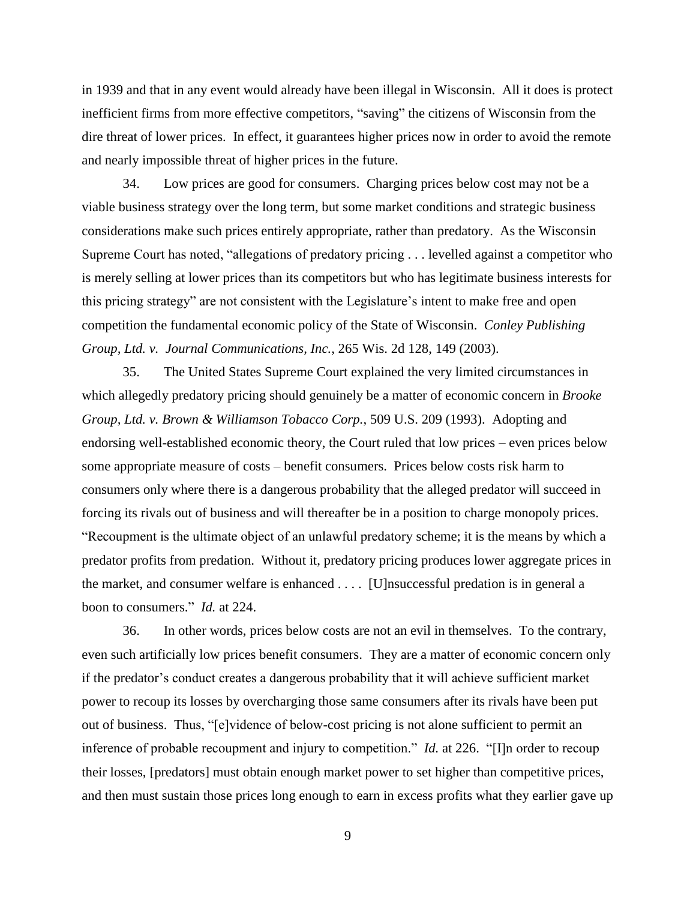in 1939 and that in any event would already have been illegal in Wisconsin. All it does is protect inefficient firms from more effective competitors, "saving" the citizens of Wisconsin from the dire threat of lower prices. In effect, it guarantees higher prices now in order to avoid the remote and nearly impossible threat of higher prices in the future.

34. Low prices are good for consumers. Charging prices below cost may not be a viable business strategy over the long term, but some market conditions and strategic business considerations make such prices entirely appropriate, rather than predatory. As the Wisconsin Supreme Court has noted, "allegations of predatory pricing . . . levelled against a competitor who is merely selling at lower prices than its competitors but who has legitimate business interests for this pricing strategy" are not consistent with the Legislature's intent to make free and open competition the fundamental economic policy of the State of Wisconsin. *Conley Publishing Group, Ltd. v. Journal Communications, Inc.*, 265 Wis. 2d 128, 149 (2003).

35. The United States Supreme Court explained the very limited circumstances in which allegedly predatory pricing should genuinely be a matter of economic concern in *Brooke Group, Ltd. v. Brown & Williamson Tobacco Corp.*, 509 U.S. 209 (1993). Adopting and endorsing well-established economic theory, the Court ruled that low prices – even prices below some appropriate measure of costs – benefit consumers. Prices below costs risk harm to consumers only where there is a dangerous probability that the alleged predator will succeed in forcing its rivals out of business and will thereafter be in a position to charge monopoly prices. "Recoupment is the ultimate object of an unlawful predatory scheme; it is the means by which a predator profits from predation. Without it, predatory pricing produces lower aggregate prices in the market, and consumer welfare is enhanced . . . . [U]nsuccessful predation is in general a boon to consumers." *Id.* at 224.

36. In other words, prices below costs are not an evil in themselves. To the contrary, even such artificially low prices benefit consumers. They are a matter of economic concern only if the predator's conduct creates a dangerous probability that it will achieve sufficient market power to recoup its losses by overcharging those same consumers after its rivals have been put out of business. Thus, "[e]vidence of below-cost pricing is not alone sufficient to permit an inference of probable recoupment and injury to competition." *Id.* at 226. "[I]n order to recoup their losses, [predators] must obtain enough market power to set higher than competitive prices, and then must sustain those prices long enough to earn in excess profits what they earlier gave up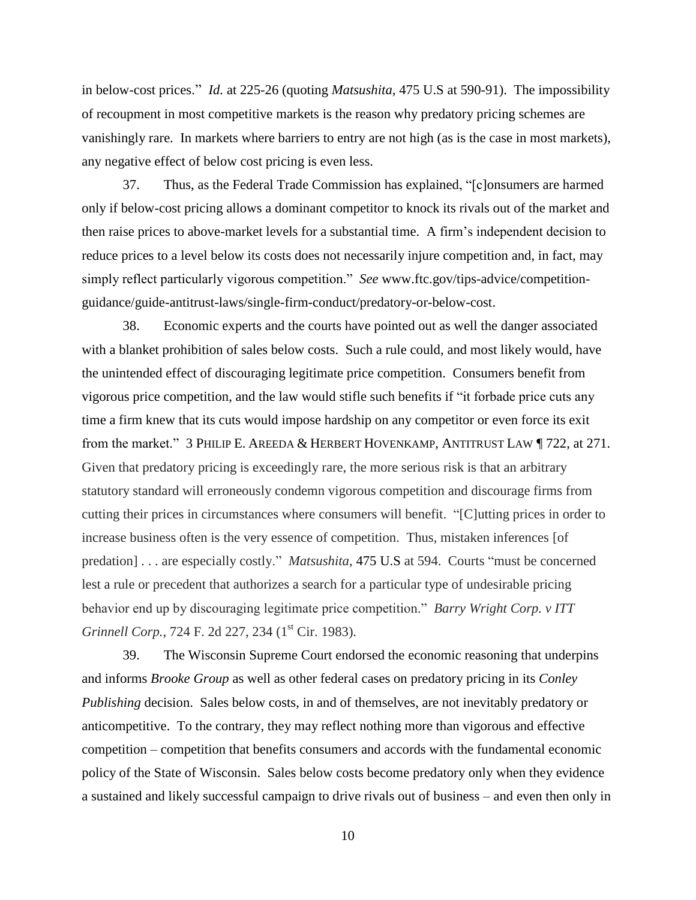in below-cost prices." *Id.* at 225-26 (quoting *Matsushita*, 475 U.S at 590-91). The impossibility of recoupment in most competitive markets is the reason why predatory pricing schemes are vanishingly rare. In markets where barriers to entry are not high (as is the case in most markets), any negative effect of below cost pricing is even less.

37. Thus, as the Federal Trade Commission has explained, "[c]onsumers are harmed only if below-cost pricing allows a dominant competitor to knock its rivals out of the market and then raise prices to above-market levels for a substantial time. A firm's independent decision to reduce prices to a level below its costs does not necessarily injure competition and, in fact, may simply reflect particularly vigorous competition." *See* www.ftc.gov/tips-advice/competitionguidance/guide-antitrust-laws/single-firm-conduct/predatory-or-below-cost.

38. Economic experts and the courts have pointed out as well the danger associated with a blanket prohibition of sales below costs. Such a rule could, and most likely would, have the unintended effect of discouraging legitimate price competition. Consumers benefit from vigorous price competition, and the law would stifle such benefits if "it forbade price cuts any time a firm knew that its cuts would impose hardship on any competitor or even force its exit from the market." 3 PHILIP E. AREEDA & HERBERT HOVENKAMP, ANTITRUST LAW ¶ 722, at 271. Given that predatory pricing is exceedingly rare, the more serious risk is that an arbitrary statutory standard will erroneously condemn vigorous competition and discourage firms from cutting their prices in circumstances where consumers will benefit. "[C]utting prices in order to increase business often is the very essence of competition. Thus, mistaken inferences [of predation] . . . are especially costly." *Matsushita*, 475 U.S at 594. Courts "must be concerned lest a rule or precedent that authorizes a search for a particular type of undesirable pricing behavior end up by discouraging legitimate price competition." *Barry Wright Corp. v ITT Grinnell Corp.*, 724 F. 2d 227, 234 (1 st Cir. 1983).

39. The Wisconsin Supreme Court endorsed the economic reasoning that underpins and informs *Brooke Group* as well as other federal cases on predatory pricing in its *Conley Publishing* decision. Sales below costs, in and of themselves, are not inevitably predatory or anticompetitive. To the contrary, they may reflect nothing more than vigorous and effective competition – competition that benefits consumers and accords with the fundamental economic policy of the State of Wisconsin. Sales below costs become predatory only when they evidence a sustained and likely successful campaign to drive rivals out of business – and even then only in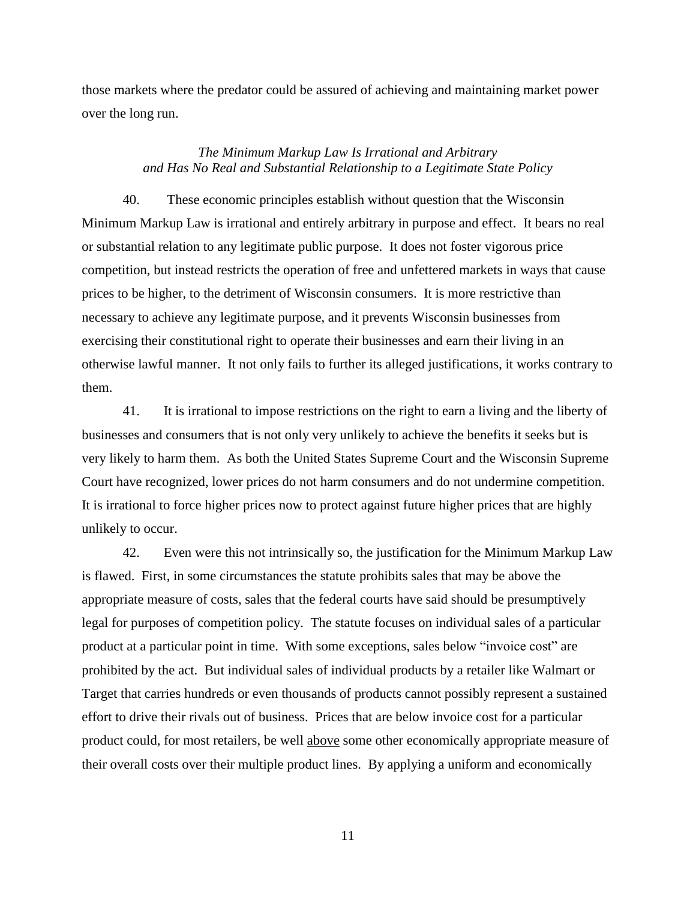those markets where the predator could be assured of achieving and maintaining market power over the long run.

## *The Minimum Markup Law Is Irrational and Arbitrary and Has No Real and Substantial Relationship to a Legitimate State Policy*

40. These economic principles establish without question that the Wisconsin Minimum Markup Law is irrational and entirely arbitrary in purpose and effect. It bears no real or substantial relation to any legitimate public purpose. It does not foster vigorous price competition, but instead restricts the operation of free and unfettered markets in ways that cause prices to be higher, to the detriment of Wisconsin consumers. It is more restrictive than necessary to achieve any legitimate purpose, and it prevents Wisconsin businesses from exercising their constitutional right to operate their businesses and earn their living in an otherwise lawful manner. It not only fails to further its alleged justifications, it works contrary to them.

41. It is irrational to impose restrictions on the right to earn a living and the liberty of businesses and consumers that is not only very unlikely to achieve the benefits it seeks but is very likely to harm them. As both the United States Supreme Court and the Wisconsin Supreme Court have recognized, lower prices do not harm consumers and do not undermine competition. It is irrational to force higher prices now to protect against future higher prices that are highly unlikely to occur.

42. Even were this not intrinsically so, the justification for the Minimum Markup Law is flawed. First, in some circumstances the statute prohibits sales that may be above the appropriate measure of costs, sales that the federal courts have said should be presumptively legal for purposes of competition policy. The statute focuses on individual sales of a particular product at a particular point in time. With some exceptions, sales below "invoice cost" are prohibited by the act. But individual sales of individual products by a retailer like Walmart or Target that carries hundreds or even thousands of products cannot possibly represent a sustained effort to drive their rivals out of business. Prices that are below invoice cost for a particular product could, for most retailers, be well above some other economically appropriate measure of their overall costs over their multiple product lines. By applying a uniform and economically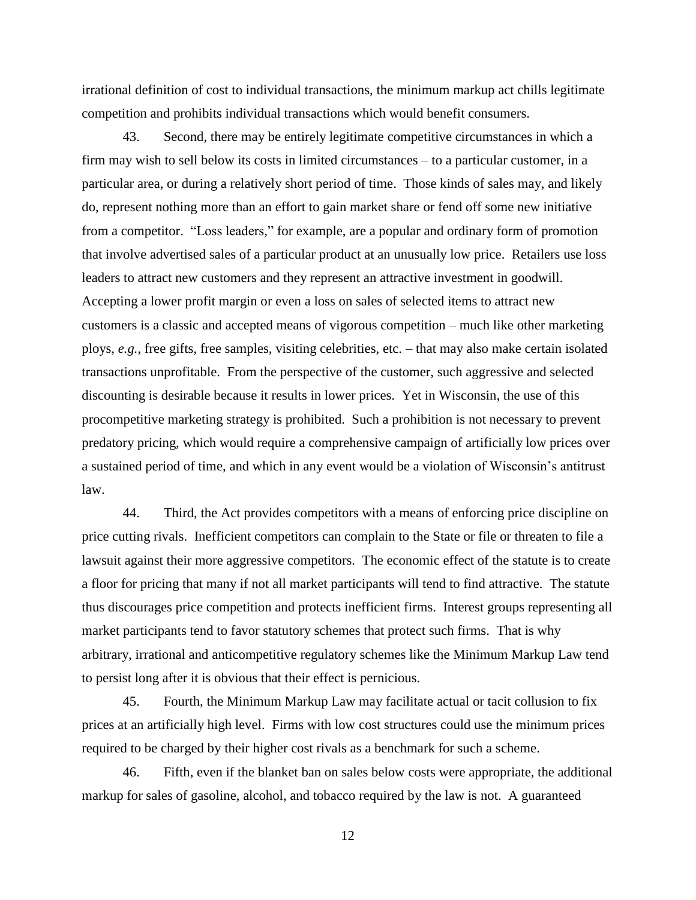irrational definition of cost to individual transactions, the minimum markup act chills legitimate competition and prohibits individual transactions which would benefit consumers.

43. Second, there may be entirely legitimate competitive circumstances in which a firm may wish to sell below its costs in limited circumstances – to a particular customer, in a particular area, or during a relatively short period of time. Those kinds of sales may, and likely do, represent nothing more than an effort to gain market share or fend off some new initiative from a competitor. "Loss leaders," for example, are a popular and ordinary form of promotion that involve advertised sales of a particular product at an unusually low price. Retailers use loss leaders to attract new customers and they represent an attractive investment in goodwill. Accepting a lower profit margin or even a loss on sales of selected items to attract new customers is a classic and accepted means of vigorous competition – much like other marketing ploys, *e.g.*, free gifts, free samples, visiting celebrities, etc. – that may also make certain isolated transactions unprofitable. From the perspective of the customer, such aggressive and selected discounting is desirable because it results in lower prices. Yet in Wisconsin, the use of this procompetitive marketing strategy is prohibited. Such a prohibition is not necessary to prevent predatory pricing, which would require a comprehensive campaign of artificially low prices over a sustained period of time, and which in any event would be a violation of Wisconsin's antitrust law.

44. Third, the Act provides competitors with a means of enforcing price discipline on price cutting rivals. Inefficient competitors can complain to the State or file or threaten to file a lawsuit against their more aggressive competitors. The economic effect of the statute is to create a floor for pricing that many if not all market participants will tend to find attractive. The statute thus discourages price competition and protects inefficient firms. Interest groups representing all market participants tend to favor statutory schemes that protect such firms. That is why arbitrary, irrational and anticompetitive regulatory schemes like the Minimum Markup Law tend to persist long after it is obvious that their effect is pernicious.

45. Fourth, the Minimum Markup Law may facilitate actual or tacit collusion to fix prices at an artificially high level. Firms with low cost structures could use the minimum prices required to be charged by their higher cost rivals as a benchmark for such a scheme.

46. Fifth, even if the blanket ban on sales below costs were appropriate, the additional markup for sales of gasoline, alcohol, and tobacco required by the law is not. A guaranteed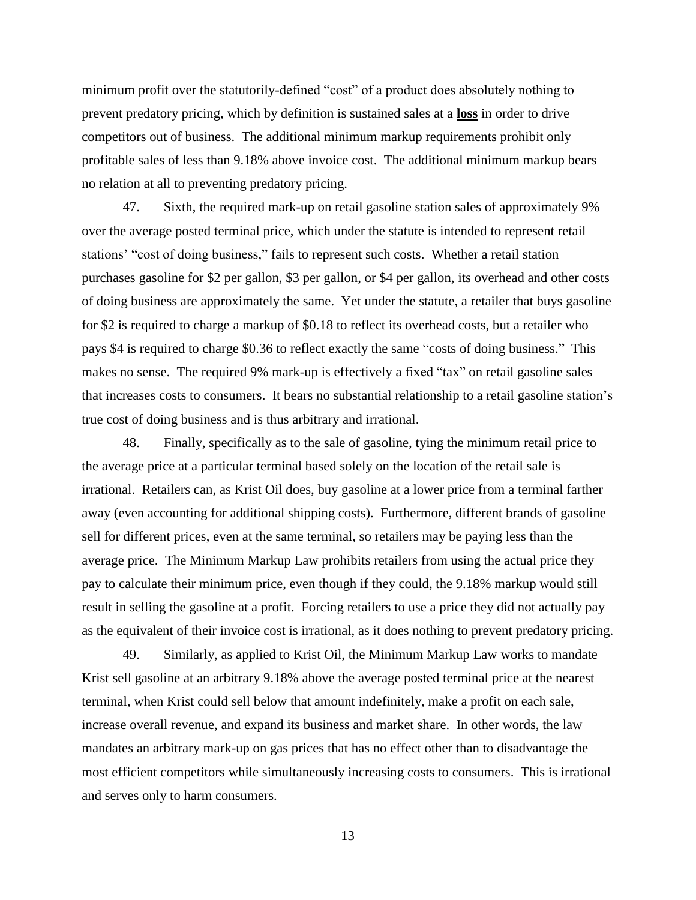minimum profit over the statutorily-defined "cost" of a product does absolutely nothing to prevent predatory pricing, which by definition is sustained sales at a **loss** in order to drive competitors out of business. The additional minimum markup requirements prohibit only profitable sales of less than 9.18% above invoice cost. The additional minimum markup bears no relation at all to preventing predatory pricing.

47. Sixth, the required mark-up on retail gasoline station sales of approximately 9% over the average posted terminal price, which under the statute is intended to represent retail stations' "cost of doing business," fails to represent such costs. Whether a retail station purchases gasoline for \$2 per gallon, \$3 per gallon, or \$4 per gallon, its overhead and other costs of doing business are approximately the same. Yet under the statute, a retailer that buys gasoline for \$2 is required to charge a markup of \$0.18 to reflect its overhead costs, but a retailer who pays \$4 is required to charge \$0.36 to reflect exactly the same "costs of doing business." This makes no sense. The required 9% mark-up is effectively a fixed "tax" on retail gasoline sales that increases costs to consumers. It bears no substantial relationship to a retail gasoline station's true cost of doing business and is thus arbitrary and irrational.

48. Finally, specifically as to the sale of gasoline, tying the minimum retail price to the average price at a particular terminal based solely on the location of the retail sale is irrational. Retailers can, as Krist Oil does, buy gasoline at a lower price from a terminal farther away (even accounting for additional shipping costs). Furthermore, different brands of gasoline sell for different prices, even at the same terminal, so retailers may be paying less than the average price. The Minimum Markup Law prohibits retailers from using the actual price they pay to calculate their minimum price, even though if they could, the 9.18% markup would still result in selling the gasoline at a profit. Forcing retailers to use a price they did not actually pay as the equivalent of their invoice cost is irrational, as it does nothing to prevent predatory pricing.

49. Similarly, as applied to Krist Oil, the Minimum Markup Law works to mandate Krist sell gasoline at an arbitrary 9.18% above the average posted terminal price at the nearest terminal, when Krist could sell below that amount indefinitely, make a profit on each sale, increase overall revenue, and expand its business and market share. In other words, the law mandates an arbitrary mark-up on gas prices that has no effect other than to disadvantage the most efficient competitors while simultaneously increasing costs to consumers. This is irrational and serves only to harm consumers.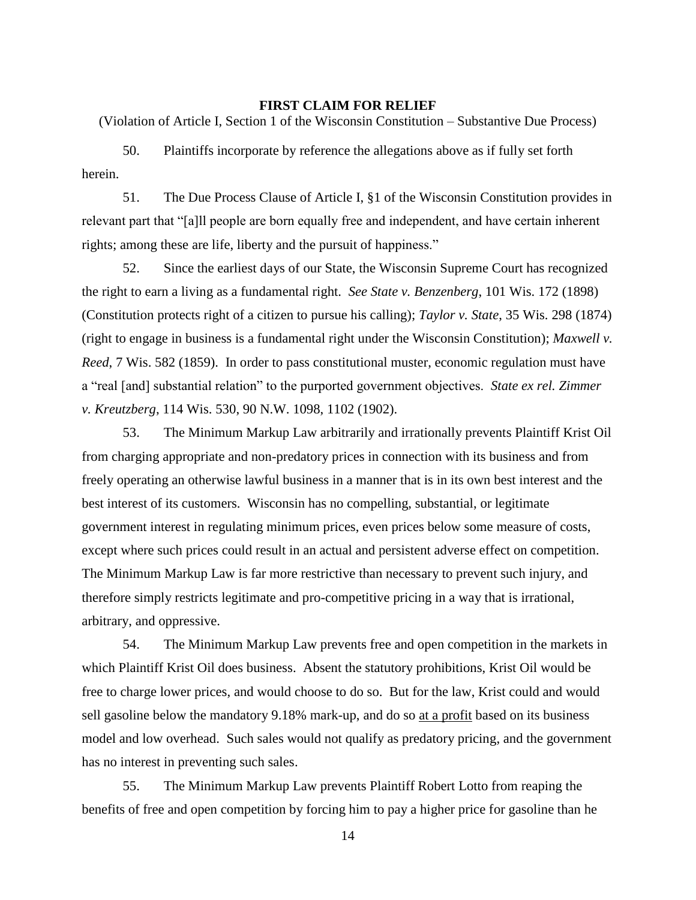#### **FIRST CLAIM FOR RELIEF**

(Violation of Article I, Section 1 of the Wisconsin Constitution – Substantive Due Process)

50. Plaintiffs incorporate by reference the allegations above as if fully set forth herein.

51. The Due Process Clause of Article I, §1 of the Wisconsin Constitution provides in relevant part that "[a]ll people are born equally free and independent, and have certain inherent rights; among these are life, liberty and the pursuit of happiness."

52. Since the earliest days of our State, the Wisconsin Supreme Court has recognized the right to earn a living as a fundamental right. *See State v. Benzenberg*, 101 Wis. 172 (1898) (Constitution protects right of a citizen to pursue his calling); *Taylor v. State*, 35 Wis. 298 (1874) (right to engage in business is a fundamental right under the Wisconsin Constitution); *Maxwell v. Reed*, 7 Wis. 582 (1859). In order to pass constitutional muster, economic regulation must have a "real [and] substantial relation" to the purported government objectives. *State ex rel. Zimmer v. Kreutzberg*, 114 Wis. 530, 90 N.W. 1098, 1102 (1902).

53. The Minimum Markup Law arbitrarily and irrationally prevents Plaintiff Krist Oil from charging appropriate and non-predatory prices in connection with its business and from freely operating an otherwise lawful business in a manner that is in its own best interest and the best interest of its customers. Wisconsin has no compelling, substantial, or legitimate government interest in regulating minimum prices, even prices below some measure of costs, except where such prices could result in an actual and persistent adverse effect on competition. The Minimum Markup Law is far more restrictive than necessary to prevent such injury, and therefore simply restricts legitimate and pro-competitive pricing in a way that is irrational, arbitrary, and oppressive.

54. The Minimum Markup Law prevents free and open competition in the markets in which Plaintiff Krist Oil does business. Absent the statutory prohibitions, Krist Oil would be free to charge lower prices, and would choose to do so. But for the law, Krist could and would sell gasoline below the mandatory 9.18% mark-up, and do so at a profit based on its business model and low overhead. Such sales would not qualify as predatory pricing, and the government has no interest in preventing such sales.

55. The Minimum Markup Law prevents Plaintiff Robert Lotto from reaping the benefits of free and open competition by forcing him to pay a higher price for gasoline than he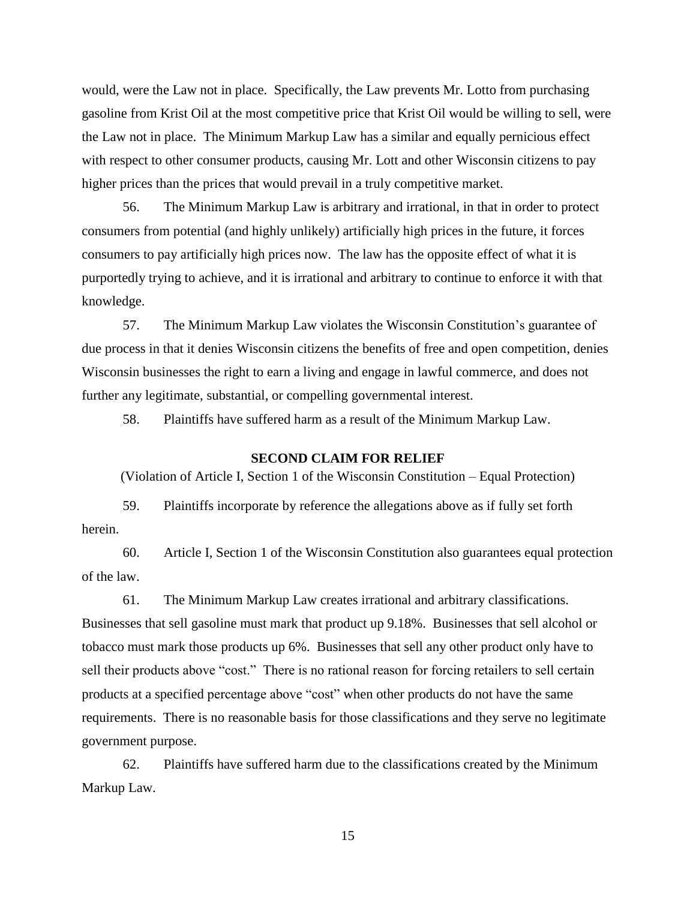would, were the Law not in place. Specifically, the Law prevents Mr. Lotto from purchasing gasoline from Krist Oil at the most competitive price that Krist Oil would be willing to sell, were the Law not in place. The Minimum Markup Law has a similar and equally pernicious effect with respect to other consumer products, causing Mr. Lott and other Wisconsin citizens to pay higher prices than the prices that would prevail in a truly competitive market.

56. The Minimum Markup Law is arbitrary and irrational, in that in order to protect consumers from potential (and highly unlikely) artificially high prices in the future, it forces consumers to pay artificially high prices now. The law has the opposite effect of what it is purportedly trying to achieve, and it is irrational and arbitrary to continue to enforce it with that knowledge.

57. The Minimum Markup Law violates the Wisconsin Constitution's guarantee of due process in that it denies Wisconsin citizens the benefits of free and open competition, denies Wisconsin businesses the right to earn a living and engage in lawful commerce, and does not further any legitimate, substantial, or compelling governmental interest.

58. Plaintiffs have suffered harm as a result of the Minimum Markup Law.

## **SECOND CLAIM FOR RELIEF**

(Violation of Article I, Section 1 of the Wisconsin Constitution – Equal Protection)

59. Plaintiffs incorporate by reference the allegations above as if fully set forth herein.

60. Article I, Section 1 of the Wisconsin Constitution also guarantees equal protection of the law.

61. The Minimum Markup Law creates irrational and arbitrary classifications. Businesses that sell gasoline must mark that product up 9.18%. Businesses that sell alcohol or tobacco must mark those products up 6%. Businesses that sell any other product only have to sell their products above "cost." There is no rational reason for forcing retailers to sell certain products at a specified percentage above "cost" when other products do not have the same requirements. There is no reasonable basis for those classifications and they serve no legitimate government purpose.

62. Plaintiffs have suffered harm due to the classifications created by the Minimum Markup Law.